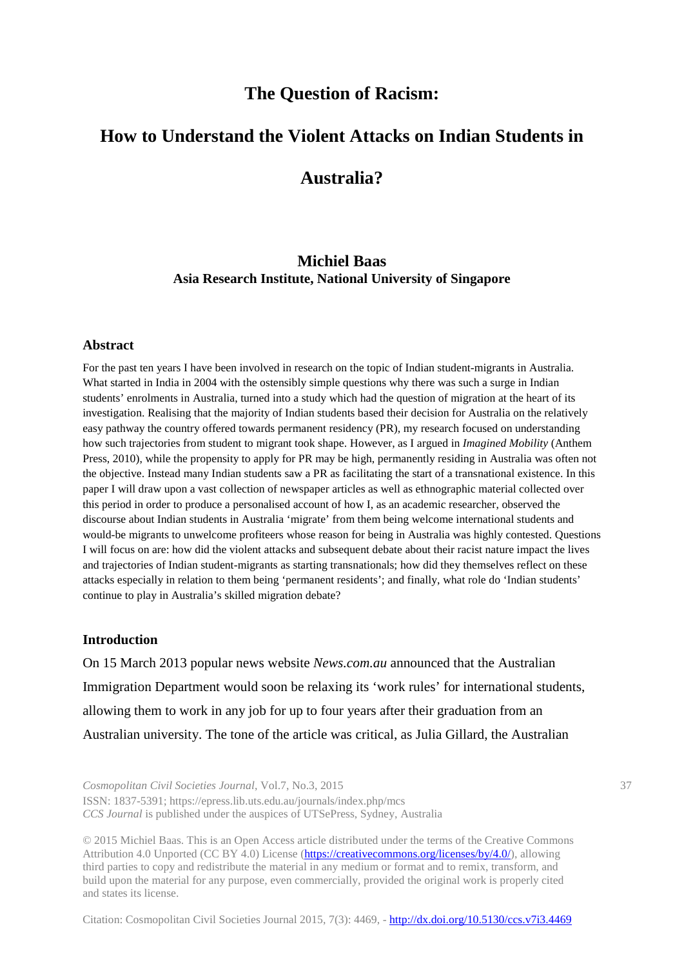# **The Question of Racism:**

# **How to Understand the Violent Attacks on Indian Students in**

# **Australia?**

# **Michiel Baas Asia Research Institute, National University of Singapore**

## **Abstract**

For the past ten years I have been involved in research on the topic of Indian student-migrants in Australia. What started in India in 2004 with the ostensibly simple questions why there was such a surge in Indian students' enrolments in Australia, turned into a study which had the question of migration at the heart of its investigation. Realising that the majority of Indian students based their decision for Australia on the relatively easy pathway the country offered towards permanent residency (PR), my research focused on understanding how such trajectories from student to migrant took shape. However, as I argued in *Imagined Mobility* (Anthem Press, 2010), while the propensity to apply for PR may be high, permanently residing in Australia was often not the objective. Instead many Indian students saw a PR as facilitating the start of a transnational existence. In this paper I will draw upon a vast collection of newspaper articles as well as ethnographic material collected over this period in order to produce a personalised account of how I, as an academic researcher, observed the discourse about Indian students in Australia 'migrate' from them being welcome international students and would-be migrants to unwelcome profiteers whose reason for being in Australia was highly contested. Questions I will focus on are: how did the violent attacks and subsequent debate about their racist nature impact the lives and trajectories of Indian student-migrants as starting transnationals; how did they themselves reflect on these attacks especially in relation to them being 'permanent residents'; and finally, what role do 'Indian students' continue to play in Australia's skilled migration debate?

# **Introduction**

On 15 March 2013 popular news website *News.com.au* announced that the Australian Immigration Department would soon be relaxing its 'work rules' for international students, allowing them to work in any job for up to four years after their graduation from an Australian university. The tone of the article was critical, as Julia Gillard, the Australian

*Cosmopolitan Civil Societies Journal*, Vol.7, No.3, 2015 37 ISSN: 1837-5391; https://epress.lib.uts.edu.au/journals/index.php/mcs *CCS Journal* is published under the auspices of UTSePress, Sydney, Australia

© 2015 Michiel Baas. This is an Open Access article distributed under the terms of the Creative Commons Attribution 4.0 Unported (CC BY 4.0) License [\(https://creativecommons.org/licenses/by/4.0/\)](https://creativecommons.org/licenses/by/4.0/), allowing third parties to copy and redistribute the material in any medium or format and to remix, transform, and build upon the material for any purpose, even commercially, provided the original work is properly cited and states its license.

Citation: Cosmopolitan Civil Societies Journal 2015, 7(3): 4469, - <http://dx.doi.org/10.5130/ccs.v7i3.4469>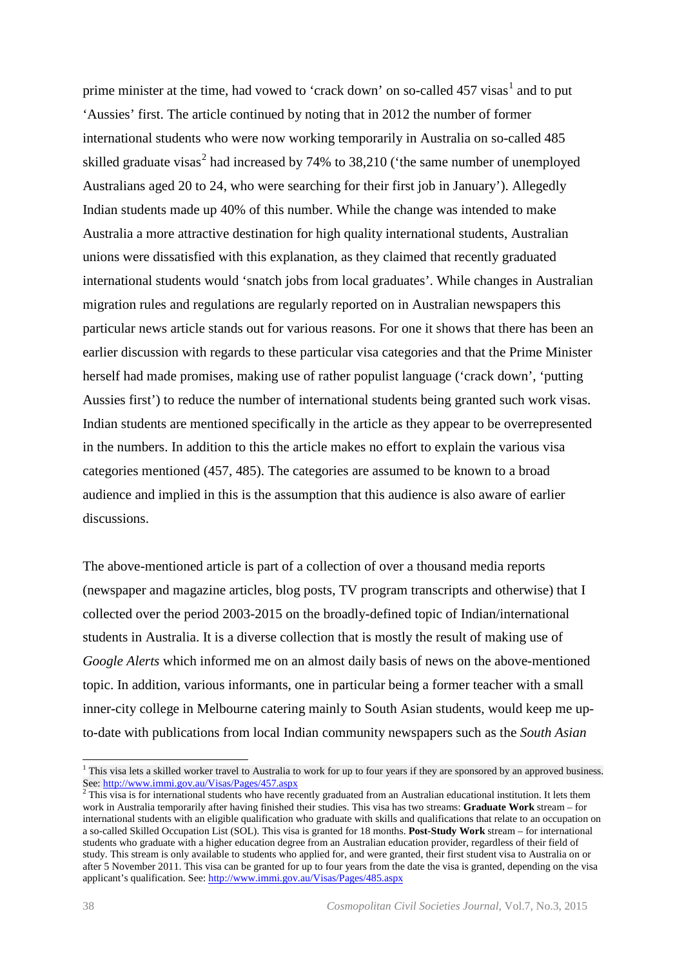prime minister at the time, had vowed to 'crack down' on so-called  $457$  visas<sup>[1](#page-1-0)</sup> and to put 'Aussies' first. The article continued by noting that in 2012 the number of former international students who were now working temporarily in Australia on so-called 485 skilled graduate visas<sup>[2](#page-1-1)</sup> had increased by 74% to 38,210 ('the same number of unemployed Australians aged 20 to 24, who were searching for their first job in January'). Allegedly Indian students made up 40% of this number. While the change was intended to make Australia a more attractive destination for high quality international students, Australian unions were dissatisfied with this explanation, as they claimed that recently graduated international students would 'snatch jobs from local graduates'. While changes in Australian migration rules and regulations are regularly reported on in Australian newspapers this particular news article stands out for various reasons. For one it shows that there has been an earlier discussion with regards to these particular visa categories and that the Prime Minister herself had made promises, making use of rather populist language ('crack down', 'putting Aussies first') to reduce the number of international students being granted such work visas. Indian students are mentioned specifically in the article as they appear to be overrepresented in the numbers. In addition to this the article makes no effort to explain the various visa categories mentioned (457, 485). The categories are assumed to be known to a broad audience and implied in this is the assumption that this audience is also aware of earlier discussions.

The above-mentioned article is part of a collection of over a thousand media reports (newspaper and magazine articles, blog posts, TV program transcripts and otherwise) that I collected over the period 2003-2015 on the broadly-defined topic of Indian/international students in Australia. It is a diverse collection that is mostly the result of making use of *Google Alerts* which informed me on an almost daily basis of news on the above-mentioned topic. In addition, various informants, one in particular being a former teacher with a small inner-city college in Melbourne catering mainly to South Asian students, would keep me upto-date with publications from local Indian community newspapers such as the *South Asian* 

<span id="page-1-0"></span> $<sup>1</sup>$  This visa lets a skilled worker travel to Australia to work for up to four years if they are sponsored by an approved business.</sup> See[: http://www.immi.gov.au/Visas/Pages/457.aspx](http://www.immi.gov.au/Visas/Pages/457.aspx) 2 This visa is for international students who have recently graduated from an Australian educational institution. It lets them

<span id="page-1-1"></span>work in Australia temporarily after having finished their studies. This visa has two streams: **Graduate Work** stream – for international students with an eligible qualification who graduate with skills and qualifications that relate to an occupation on a so-called Skilled Occupation List (SOL). This visa is granted for 18 months. **Post-Study Work** stream – for international students who graduate with a higher education degree from an Australian education provider, regardless of their field of study. This stream is only available to students who applied for, and were granted, their first student visa to Australia on or after 5 November 2011. This visa can be granted for up to four years from the date the visa is granted, depending on the visa applicant's qualification. See[: http://www.immi.gov.au/Visas/Pages/485.aspx](http://www.immi.gov.au/Visas/Pages/485.aspx)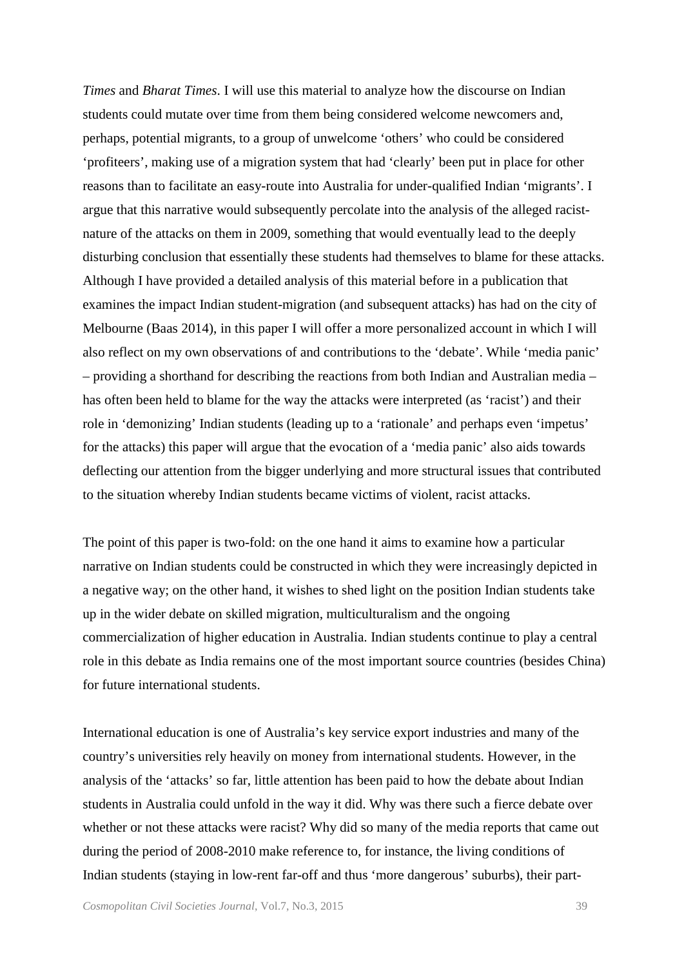*Times* and *Bharat Times*. I will use this material to analyze how the discourse on Indian students could mutate over time from them being considered welcome newcomers and, perhaps, potential migrants, to a group of unwelcome 'others' who could be considered 'profiteers', making use of a migration system that had 'clearly' been put in place for other reasons than to facilitate an easy-route into Australia for under-qualified Indian 'migrants'. I argue that this narrative would subsequently percolate into the analysis of the alleged racistnature of the attacks on them in 2009, something that would eventually lead to the deeply disturbing conclusion that essentially these students had themselves to blame for these attacks. Although I have provided a detailed analysis of this material before in a publication that examines the impact Indian student-migration (and subsequent attacks) has had on the city of Melbourne (Baas 2014), in this paper I will offer a more personalized account in which I will also reflect on my own observations of and contributions to the 'debate'. While 'media panic' – providing a shorthand for describing the reactions from both Indian and Australian media – has often been held to blame for the way the attacks were interpreted (as 'racist') and their role in 'demonizing' Indian students (leading up to a 'rationale' and perhaps even 'impetus' for the attacks) this paper will argue that the evocation of a 'media panic' also aids towards deflecting our attention from the bigger underlying and more structural issues that contributed to the situation whereby Indian students became victims of violent, racist attacks.

The point of this paper is two-fold: on the one hand it aims to examine how a particular narrative on Indian students could be constructed in which they were increasingly depicted in a negative way; on the other hand, it wishes to shed light on the position Indian students take up in the wider debate on skilled migration, multiculturalism and the ongoing commercialization of higher education in Australia. Indian students continue to play a central role in this debate as India remains one of the most important source countries (besides China) for future international students.

International education is one of Australia's key service export industries and many of the country's universities rely heavily on money from international students. However, in the analysis of the 'attacks' so far, little attention has been paid to how the debate about Indian students in Australia could unfold in the way it did. Why was there such a fierce debate over whether or not these attacks were racist? Why did so many of the media reports that came out during the period of 2008-2010 make reference to, for instance, the living conditions of Indian students (staying in low-rent far-off and thus 'more dangerous' suburbs), their part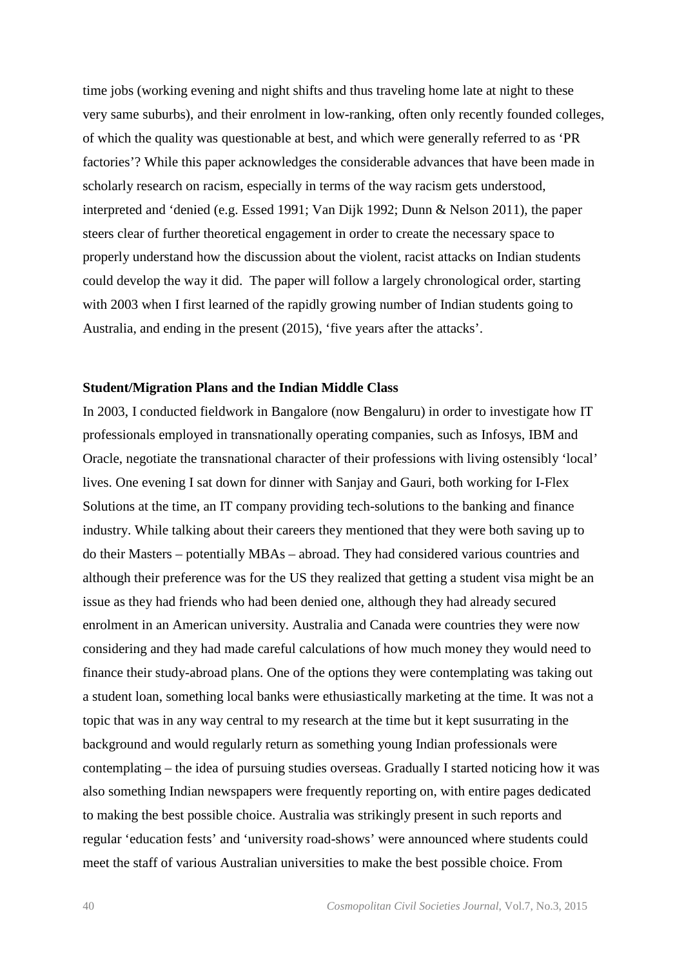time jobs (working evening and night shifts and thus traveling home late at night to these very same suburbs), and their enrolment in low-ranking, often only recently founded colleges, of which the quality was questionable at best, and which were generally referred to as 'PR factories'? While this paper acknowledges the considerable advances that have been made in scholarly research on racism, especially in terms of the way racism gets understood, interpreted and 'denied (e.g. Essed 1991; Van Dijk 1992; Dunn & Nelson 2011), the paper steers clear of further theoretical engagement in order to create the necessary space to properly understand how the discussion about the violent, racist attacks on Indian students could develop the way it did. The paper will follow a largely chronological order, starting with 2003 when I first learned of the rapidly growing number of Indian students going to Australia, and ending in the present (2015), 'five years after the attacks'.

## **Student/Migration Plans and the Indian Middle Class**

In 2003, I conducted fieldwork in Bangalore (now Bengaluru) in order to investigate how IT professionals employed in transnationally operating companies, such as Infosys, IBM and Oracle, negotiate the transnational character of their professions with living ostensibly 'local' lives. One evening I sat down for dinner with Sanjay and Gauri, both working for I-Flex Solutions at the time, an IT company providing tech-solutions to the banking and finance industry. While talking about their careers they mentioned that they were both saving up to do their Masters – potentially MBAs – abroad. They had considered various countries and although their preference was for the US they realized that getting a student visa might be an issue as they had friends who had been denied one, although they had already secured enrolment in an American university. Australia and Canada were countries they were now considering and they had made careful calculations of how much money they would need to finance their study-abroad plans. One of the options they were contemplating was taking out a student loan, something local banks were ethusiastically marketing at the time. It was not a topic that was in any way central to my research at the time but it kept susurrating in the background and would regularly return as something young Indian professionals were contemplating – the idea of pursuing studies overseas. Gradually I started noticing how it was also something Indian newspapers were frequently reporting on, with entire pages dedicated to making the best possible choice. Australia was strikingly present in such reports and regular 'education fests' and 'university road-shows' were announced where students could meet the staff of various Australian universities to make the best possible choice. From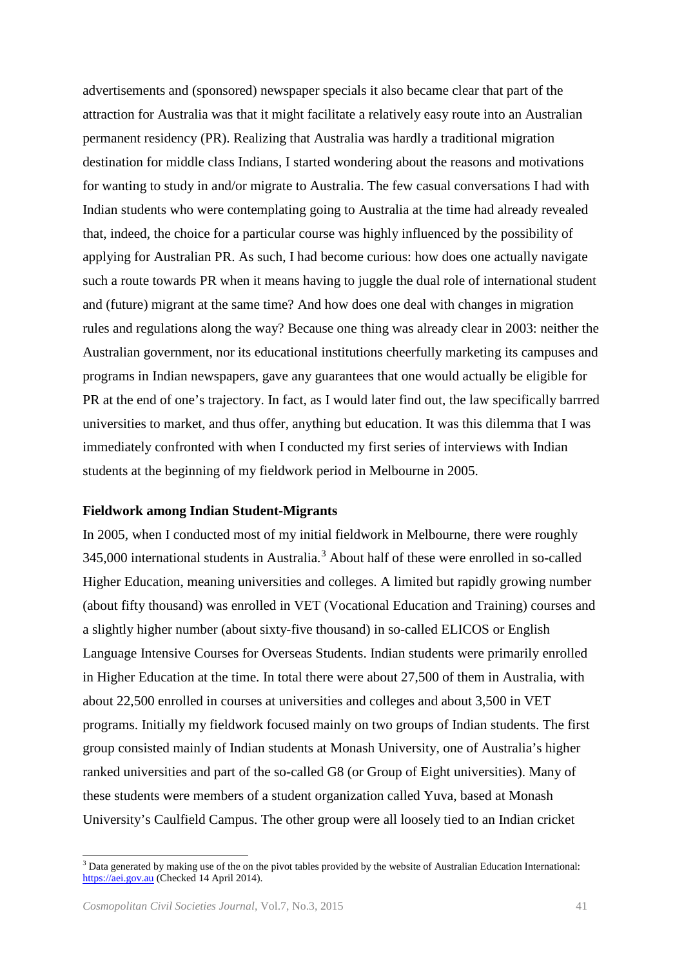advertisements and (sponsored) newspaper specials it also became clear that part of the attraction for Australia was that it might facilitate a relatively easy route into an Australian permanent residency (PR). Realizing that Australia was hardly a traditional migration destination for middle class Indians, I started wondering about the reasons and motivations for wanting to study in and/or migrate to Australia. The few casual conversations I had with Indian students who were contemplating going to Australia at the time had already revealed that, indeed, the choice for a particular course was highly influenced by the possibility of applying for Australian PR. As such, I had become curious: how does one actually navigate such a route towards PR when it means having to juggle the dual role of international student and (future) migrant at the same time? And how does one deal with changes in migration rules and regulations along the way? Because one thing was already clear in 2003: neither the Australian government, nor its educational institutions cheerfully marketing its campuses and programs in Indian newspapers, gave any guarantees that one would actually be eligible for PR at the end of one's trajectory. In fact, as I would later find out, the law specifically barrred universities to market, and thus offer, anything but education. It was this dilemma that I was immediately confronted with when I conducted my first series of interviews with Indian students at the beginning of my fieldwork period in Melbourne in 2005.

# **Fieldwork among Indian Student-Migrants**

In 2005, when I conducted most of my initial fieldwork in Melbourne, there were roughly  $345,000$  $345,000$  international students in Australia.<sup>3</sup> About half of these were enrolled in so-called Higher Education, meaning universities and colleges. A limited but rapidly growing number (about fifty thousand) was enrolled in VET (Vocational Education and Training) courses and a slightly higher number (about sixty-five thousand) in so-called ELICOS or English Language Intensive Courses for Overseas Students. Indian students were primarily enrolled in Higher Education at the time. In total there were about 27,500 of them in Australia, with about 22,500 enrolled in courses at universities and colleges and about 3,500 in VET programs. Initially my fieldwork focused mainly on two groups of Indian students. The first group consisted mainly of Indian students at Monash University, one of Australia's higher ranked universities and part of the so-called G8 (or Group of Eight universities). Many of these students were members of a student organization called Yuva, based at Monash University's Caulfield Campus. The other group were all loosely tied to an Indian cricket

<span id="page-4-0"></span> $3$  Data generated by making use of the on the pivot tables provided by the website of Australian Education International: [https://aei.gov.au](https://aei.gov.au/) (Checked 14 April 2014). -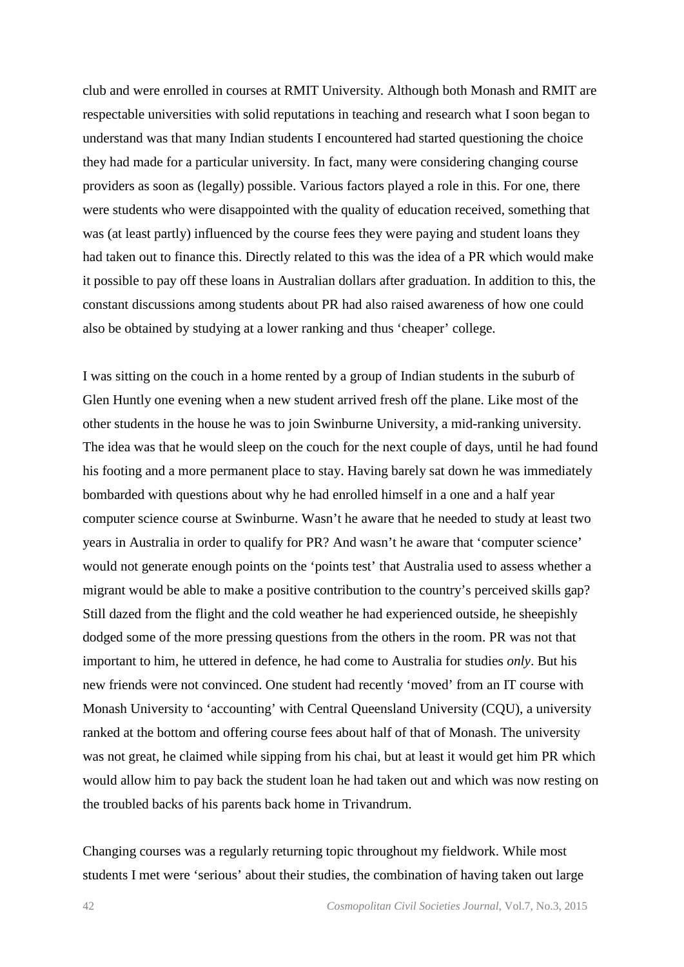club and were enrolled in courses at RMIT University. Although both Monash and RMIT are respectable universities with solid reputations in teaching and research what I soon began to understand was that many Indian students I encountered had started questioning the choice they had made for a particular university. In fact, many were considering changing course providers as soon as (legally) possible. Various factors played a role in this. For one, there were students who were disappointed with the quality of education received, something that was (at least partly) influenced by the course fees they were paying and student loans they had taken out to finance this. Directly related to this was the idea of a PR which would make it possible to pay off these loans in Australian dollars after graduation. In addition to this, the constant discussions among students about PR had also raised awareness of how one could also be obtained by studying at a lower ranking and thus 'cheaper' college.

I was sitting on the couch in a home rented by a group of Indian students in the suburb of Glen Huntly one evening when a new student arrived fresh off the plane. Like most of the other students in the house he was to join Swinburne University, a mid-ranking university. The idea was that he would sleep on the couch for the next couple of days, until he had found his footing and a more permanent place to stay. Having barely sat down he was immediately bombarded with questions about why he had enrolled himself in a one and a half year computer science course at Swinburne. Wasn't he aware that he needed to study at least two years in Australia in order to qualify for PR? And wasn't he aware that 'computer science' would not generate enough points on the 'points test' that Australia used to assess whether a migrant would be able to make a positive contribution to the country's perceived skills gap? Still dazed from the flight and the cold weather he had experienced outside, he sheepishly dodged some of the more pressing questions from the others in the room. PR was not that important to him, he uttered in defence, he had come to Australia for studies *only*. But his new friends were not convinced. One student had recently 'moved' from an IT course with Monash University to 'accounting' with Central Queensland University (CQU), a university ranked at the bottom and offering course fees about half of that of Monash. The university was not great, he claimed while sipping from his chai, but at least it would get him PR which would allow him to pay back the student loan he had taken out and which was now resting on the troubled backs of his parents back home in Trivandrum.

Changing courses was a regularly returning topic throughout my fieldwork. While most students I met were 'serious' about their studies, the combination of having taken out large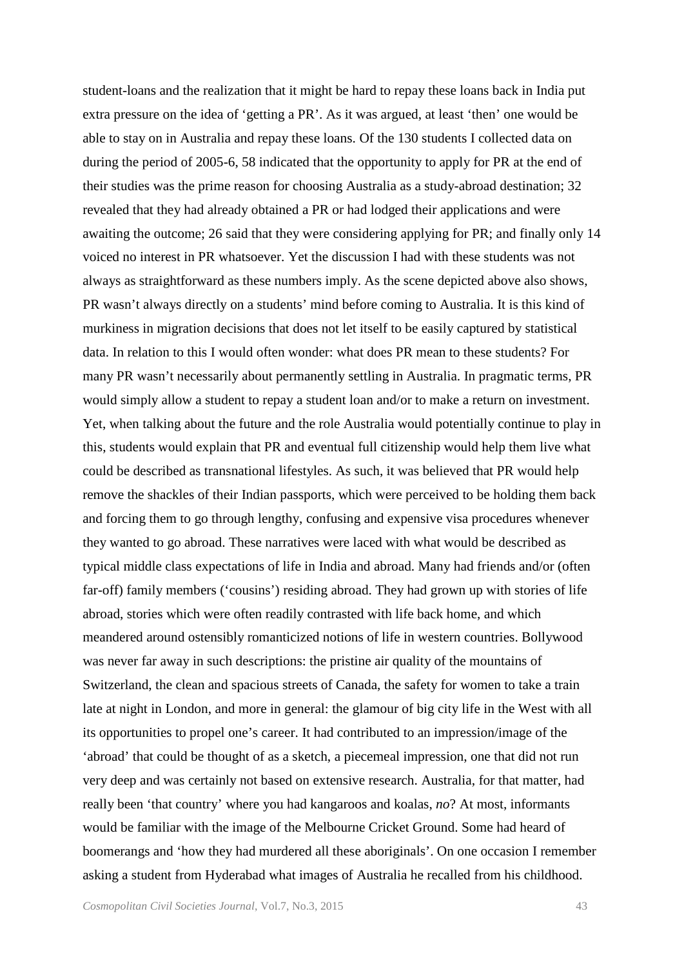student-loans and the realization that it might be hard to repay these loans back in India put extra pressure on the idea of 'getting a PR'. As it was argued, at least 'then' one would be able to stay on in Australia and repay these loans. Of the 130 students I collected data on during the period of 2005-6, 58 indicated that the opportunity to apply for PR at the end of their studies was the prime reason for choosing Australia as a study-abroad destination; 32 revealed that they had already obtained a PR or had lodged their applications and were awaiting the outcome; 26 said that they were considering applying for PR; and finally only 14 voiced no interest in PR whatsoever. Yet the discussion I had with these students was not always as straightforward as these numbers imply. As the scene depicted above also shows, PR wasn't always directly on a students' mind before coming to Australia. It is this kind of murkiness in migration decisions that does not let itself to be easily captured by statistical data. In relation to this I would often wonder: what does PR mean to these students? For many PR wasn't necessarily about permanently settling in Australia. In pragmatic terms, PR would simply allow a student to repay a student loan and/or to make a return on investment. Yet, when talking about the future and the role Australia would potentially continue to play in this, students would explain that PR and eventual full citizenship would help them live what could be described as transnational lifestyles. As such, it was believed that PR would help remove the shackles of their Indian passports, which were perceived to be holding them back and forcing them to go through lengthy, confusing and expensive visa procedures whenever they wanted to go abroad. These narratives were laced with what would be described as typical middle class expectations of life in India and abroad. Many had friends and/or (often far-off) family members ('cousins') residing abroad. They had grown up with stories of life abroad, stories which were often readily contrasted with life back home, and which meandered around ostensibly romanticized notions of life in western countries. Bollywood was never far away in such descriptions: the pristine air quality of the mountains of Switzerland, the clean and spacious streets of Canada, the safety for women to take a train late at night in London, and more in general: the glamour of big city life in the West with all its opportunities to propel one's career. It had contributed to an impression/image of the 'abroad' that could be thought of as a sketch, a piecemeal impression, one that did not run very deep and was certainly not based on extensive research. Australia, for that matter, had really been 'that country' where you had kangaroos and koalas, *no*? At most, informants would be familiar with the image of the Melbourne Cricket Ground. Some had heard of boomerangs and 'how they had murdered all these aboriginals'. On one occasion I remember asking a student from Hyderabad what images of Australia he recalled from his childhood.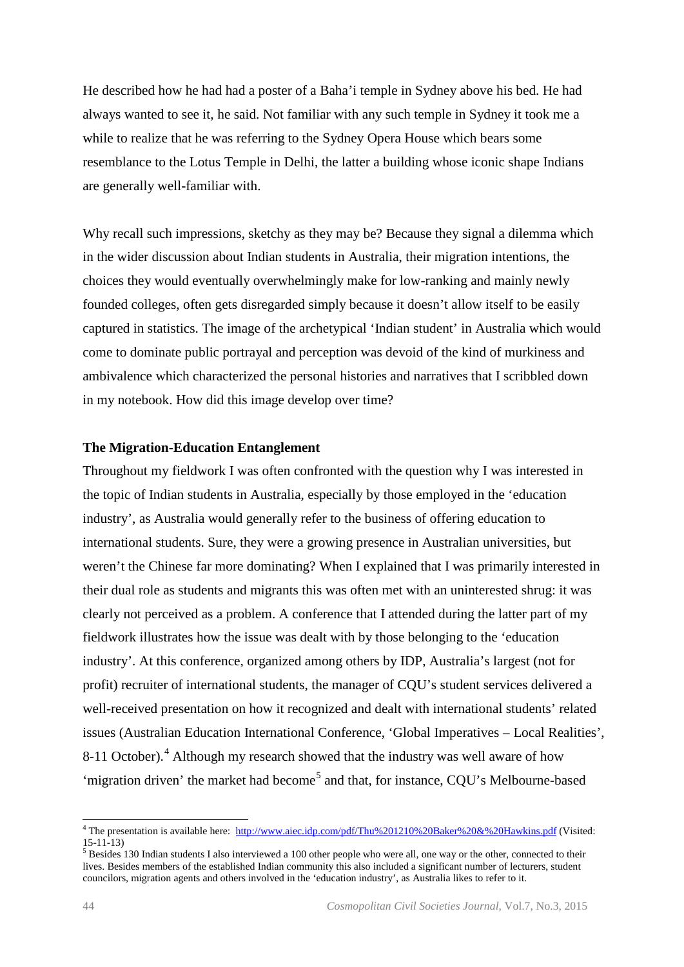He described how he had had a poster of a Baha'i temple in Sydney above his bed. He had always wanted to see it, he said. Not familiar with any such temple in Sydney it took me a while to realize that he was referring to the Sydney Opera House which bears some resemblance to the Lotus Temple in Delhi, the latter a building whose iconic shape Indians are generally well-familiar with.

Why recall such impressions, sketchy as they may be? Because they signal a dilemma which in the wider discussion about Indian students in Australia, their migration intentions, the choices they would eventually overwhelmingly make for low-ranking and mainly newly founded colleges, often gets disregarded simply because it doesn't allow itself to be easily captured in statistics. The image of the archetypical 'Indian student' in Australia which would come to dominate public portrayal and perception was devoid of the kind of murkiness and ambivalence which characterized the personal histories and narratives that I scribbled down in my notebook. How did this image develop over time?

# **The Migration-Education Entanglement**

Throughout my fieldwork I was often confronted with the question why I was interested in the topic of Indian students in Australia, especially by those employed in the 'education industry', as Australia would generally refer to the business of offering education to international students. Sure, they were a growing presence in Australian universities, but weren't the Chinese far more dominating? When I explained that I was primarily interested in their dual role as students and migrants this was often met with an uninterested shrug: it was clearly not perceived as a problem. A conference that I attended during the latter part of my fieldwork illustrates how the issue was dealt with by those belonging to the 'education industry'. At this conference, organized among others by IDP, Australia's largest (not for profit) recruiter of international students, the manager of CQU's student services delivered a well-received presentation on how it recognized and dealt with international students' related issues (Australian Education International Conference, 'Global Imperatives – Local Realities', 8-11 October).<sup>[4](#page-7-0)</sup> Although my research showed that the industry was well aware of how 'migration driven' the market had become<sup>[5](#page-7-1)</sup> and that, for instance, CQU's Melbourne-based

<span id="page-7-0"></span><sup>&</sup>lt;sup>4</sup> The presentation is available here: <http://www.aiec.idp.com/pdf/Thu%201210%20Baker%20&%20Hawkins.pdf> (Visited: 15-11-13) <sup>5</sup> Besides 130 Indian students I also interviewed a 100 other people who were all, one way or the other, connected to their

<span id="page-7-1"></span>lives. Besides members of the established Indian community this also included a significant number of lecturers, student councilors, migration agents and others involved in the 'education industry', as Australia likes to refer to it.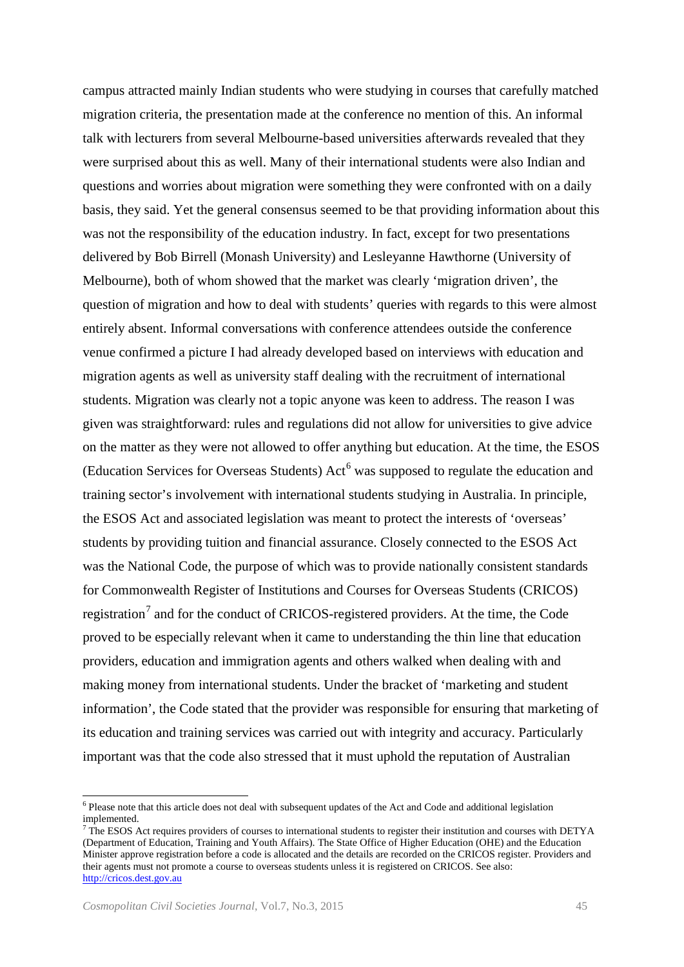campus attracted mainly Indian students who were studying in courses that carefully matched migration criteria, the presentation made at the conference no mention of this. An informal talk with lecturers from several Melbourne-based universities afterwards revealed that they were surprised about this as well. Many of their international students were also Indian and questions and worries about migration were something they were confronted with on a daily basis, they said. Yet the general consensus seemed to be that providing information about this was not the responsibility of the education industry. In fact, except for two presentations delivered by Bob Birrell (Monash University) and Lesleyanne Hawthorne (University of Melbourne), both of whom showed that the market was clearly 'migration driven', the question of migration and how to deal with students' queries with regards to this were almost entirely absent. Informal conversations with conference attendees outside the conference venue confirmed a picture I had already developed based on interviews with education and migration agents as well as university staff dealing with the recruitment of international students. Migration was clearly not a topic anyone was keen to address. The reason I was given was straightforward: rules and regulations did not allow for universities to give advice on the matter as they were not allowed to offer anything but education. At the time, the ESOS (Education Services for Overseas Students)  $Act<sup>6</sup>$  $Act<sup>6</sup>$  $Act<sup>6</sup>$  was supposed to regulate the education and training sector's involvement with international students studying in Australia. In principle, the ESOS Act and associated legislation was meant to protect the interests of 'overseas' students by providing tuition and financial assurance. Closely connected to the ESOS Act was the National Code, the purpose of which was to provide nationally consistent standards for Commonwealth Register of Institutions and Courses for Overseas Students (CRICOS) registration<sup>[7](#page-8-1)</sup> and for the conduct of CRICOS-registered providers. At the time, the Code proved to be especially relevant when it came to understanding the thin line that education providers, education and immigration agents and others walked when dealing with and making money from international students. Under the bracket of 'marketing and student information', the Code stated that the provider was responsible for ensuring that marketing of its education and training services was carried out with integrity and accuracy. Particularly important was that the code also stressed that it must uphold the reputation of Australian

<span id="page-8-0"></span><sup>6</sup> Please note that this article does not deal with subsequent updates of the Act and Code and additional legislation implemented.

<span id="page-8-1"></span> $\sigma$ <sup>7</sup> The ESOS Act requires providers of courses to international students to register their institution and courses with DETYA (Department of Education, Training and Youth Affairs). The State Office of Higher Education (OHE) and the Education Minister approve registration before a code is allocated and the details are recorded on the CRICOS register. Providers and their agents must not promote a course to overseas students unless it is registered on CRICOS. See also: [http://cricos.dest.gov.au](http://cricos.dest.gov.au/)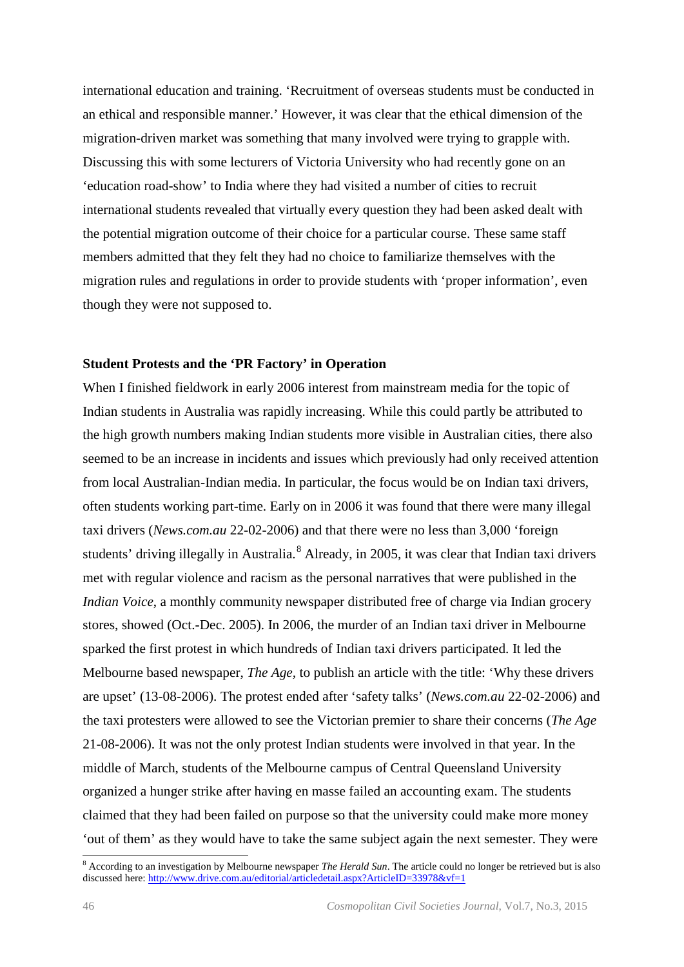international education and training. 'Recruitment of overseas students must be conducted in an ethical and responsible manner.' However, it was clear that the ethical dimension of the migration-driven market was something that many involved were trying to grapple with. Discussing this with some lecturers of Victoria University who had recently gone on an 'education road-show' to India where they had visited a number of cities to recruit international students revealed that virtually every question they had been asked dealt with the potential migration outcome of their choice for a particular course. These same staff members admitted that they felt they had no choice to familiarize themselves with the migration rules and regulations in order to provide students with 'proper information', even though they were not supposed to.

# **Student Protests and the 'PR Factory' in Operation**

When I finished fieldwork in early 2006 interest from mainstream media for the topic of Indian students in Australia was rapidly increasing. While this could partly be attributed to the high growth numbers making Indian students more visible in Australian cities, there also seemed to be an increase in incidents and issues which previously had only received attention from local Australian-Indian media. In particular, the focus would be on Indian taxi drivers, often students working part-time. Early on in 2006 it was found that there were many illegal taxi drivers (*News.com.au* 22-02-2006) and that there were no less than 3,000 'foreign students' driving illegally in Australia.<sup>[8](#page-9-0)</sup> Already, in 2005, it was clear that Indian taxi drivers met with regular violence and racism as the personal narratives that were published in the *Indian Voice*, a monthly community newspaper distributed free of charge via Indian grocery stores, showed (Oct.-Dec. 2005). In 2006, the murder of an Indian taxi driver in Melbourne sparked the first protest in which hundreds of Indian taxi drivers participated. It led the Melbourne based newspaper, *The Age,* to publish an article with the title: 'Why these drivers are upset' (13-08-2006). The protest ended after 'safety talks' (*News.com.au* 22-02-2006) and the taxi protesters were allowed to see the Victorian premier to share their concerns (*The Age* 21-08-2006). It was not the only protest Indian students were involved in that year. In the middle of March, students of the Melbourne campus of Central Queensland University organized a hunger strike after having en masse failed an accounting exam. The students claimed that they had been failed on purpose so that the university could make more money 'out of them' as they would have to take the same subject again the next semester. They were

<span id="page-9-0"></span><sup>8</sup> According to an investigation by Melbourne newspaper *The Herald Sun*. The article could no longer be retrieved but is also discussed here:<http://www.drive.com.au/editorial/articledetail.aspx?ArticleID=33978&vf=1>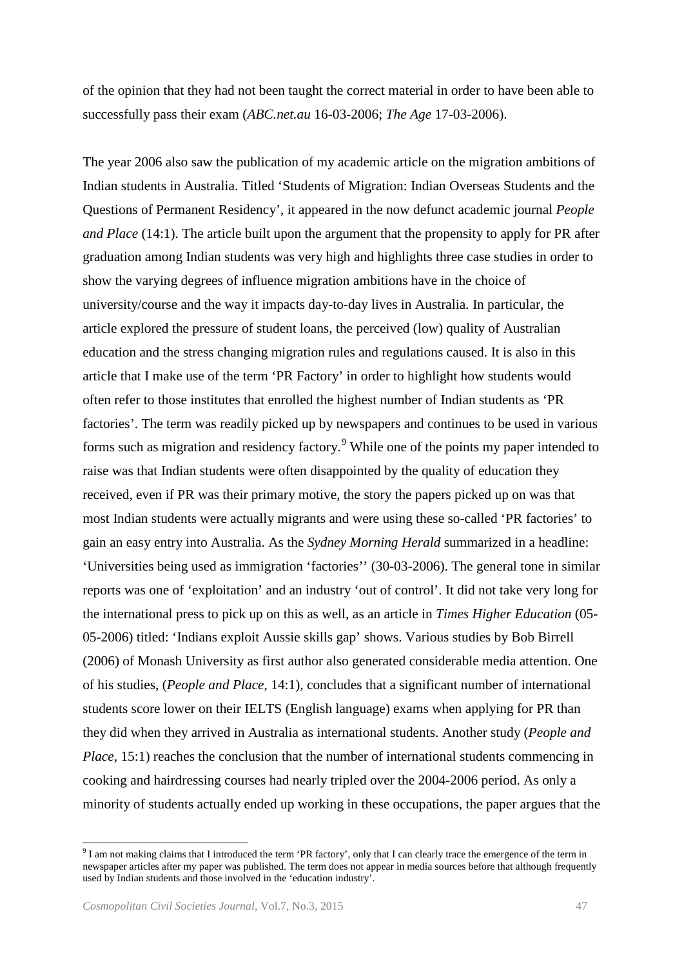of the opinion that they had not been taught the correct material in order to have been able to successfully pass their exam (*ABC.net.au* 16-03-2006; *The Age* 17-03-2006).

The year 2006 also saw the publication of my academic article on the migration ambitions of Indian students in Australia. Titled 'Students of Migration: Indian Overseas Students and the Questions of Permanent Residency', it appeared in the now defunct academic journal *People and Place* (14:1). The article built upon the argument that the propensity to apply for PR after graduation among Indian students was very high and highlights three case studies in order to show the varying degrees of influence migration ambitions have in the choice of university/course and the way it impacts day-to-day lives in Australia. In particular, the article explored the pressure of student loans, the perceived (low) quality of Australian education and the stress changing migration rules and regulations caused. It is also in this article that I make use of the term 'PR Factory' in order to highlight how students would often refer to those institutes that enrolled the highest number of Indian students as 'PR factories'. The term was readily picked up by newspapers and continues to be used in various forms such as migration and residency factory.<sup>[9](#page-10-0)</sup> While one of the points my paper intended to raise was that Indian students were often disappointed by the quality of education they received, even if PR was their primary motive, the story the papers picked up on was that most Indian students were actually migrants and were using these so-called 'PR factories' to gain an easy entry into Australia. As the *Sydney Morning Herald* summarized in a headline: 'Universities being used as immigration 'factories'' (30-03-2006). The general tone in similar reports was one of 'exploitation' and an industry 'out of control'. It did not take very long for the international press to pick up on this as well, as an article in *Times Higher Education* (05- 05-2006) titled: 'Indians exploit Aussie skills gap' shows. Various studies by Bob Birrell (2006) of Monash University as first author also generated considerable media attention. One of his studies, (*People and Place*, 14:1), concludes that a significant number of international students score lower on their IELTS (English language) exams when applying for PR than they did when they arrived in Australia as international students. Another study (*People and Place*, 15:1) reaches the conclusion that the number of international students commencing in cooking and hairdressing courses had nearly tripled over the 2004-2006 period. As only a minority of students actually ended up working in these occupations, the paper argues that the

<span id="page-10-0"></span> $9^9$  I am not making claims that I introduced the term 'PR factory', only that I can clearly trace the emergence of the term in newspaper articles after my paper was published. The term does not appear in media sources before that although frequently used by Indian students and those involved in the 'education industry'.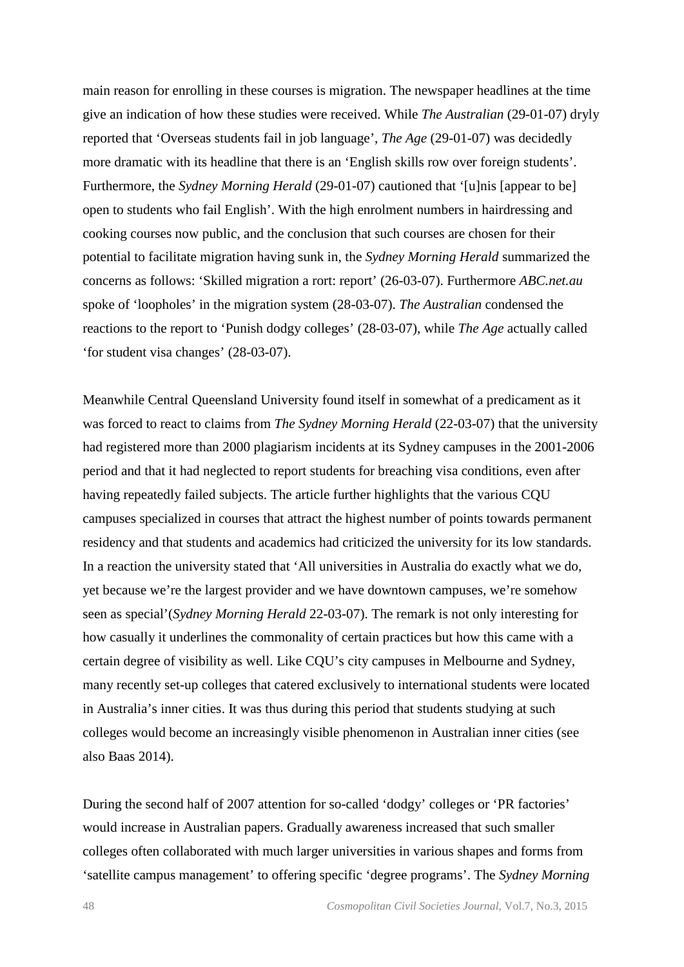main reason for enrolling in these courses is migration. The newspaper headlines at the time give an indication of how these studies were received. While *The Australian* (29-01-07) dryly reported that 'Overseas students fail in job language', *The Age* (29-01-07) was decidedly more dramatic with its headline that there is an 'English skills row over foreign students'. Furthermore, the *Sydney Morning Herald* (29-01-07) cautioned that '[u]nis [appear to be] open to students who fail English'. With the high enrolment numbers in hairdressing and cooking courses now public, and the conclusion that such courses are chosen for their potential to facilitate migration having sunk in, the *Sydney Morning Herald* summarized the concerns as follows: 'Skilled migration a rort: report' (26-03-07). Furthermore *ABC.net.au* spoke of 'loopholes' in the migration system (28-03-07). *The Australian* condensed the reactions to the report to 'Punish dodgy colleges' (28-03-07), while *The Age* actually called 'for student visa changes' (28-03-07).

Meanwhile Central Queensland University found itself in somewhat of a predicament as it was forced to react to claims from *The Sydney Morning Herald* (22-03-07) that the university had registered more than 2000 plagiarism incidents at its Sydney campuses in the 2001-2006 period and that it had neglected to report students for breaching visa conditions, even after having repeatedly failed subjects. The article further highlights that the various CQU campuses specialized in courses that attract the highest number of points towards permanent residency and that students and academics had criticized the university for its low standards. In a reaction the university stated that 'All universities in Australia do exactly what we do, yet because we're the largest provider and we have downtown campuses, we're somehow seen as special'(*Sydney Morning Herald* 22-03-07). The remark is not only interesting for how casually it underlines the commonality of certain practices but how this came with a certain degree of visibility as well. Like CQU's city campuses in Melbourne and Sydney, many recently set-up colleges that catered exclusively to international students were located in Australia's inner cities. It was thus during this period that students studying at such colleges would become an increasingly visible phenomenon in Australian inner cities (see also Baas 2014).

During the second half of 2007 attention for so-called 'dodgy' colleges or 'PR factories' would increase in Australian papers. Gradually awareness increased that such smaller colleges often collaborated with much larger universities in various shapes and forms from 'satellite campus management' to offering specific 'degree programs'. The *Sydney Morning*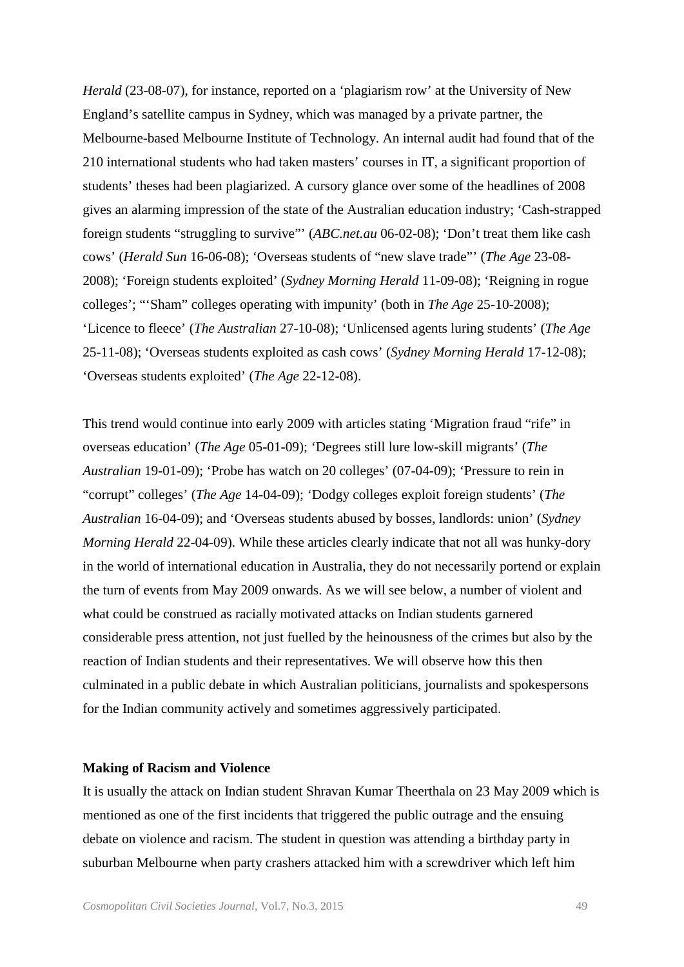*Herald* (23-08-07), for instance, reported on a 'plagiarism row' at the University of New England's satellite campus in Sydney, which was managed by a private partner, the Melbourne-based Melbourne Institute of Technology. An internal audit had found that of the 210 international students who had taken masters' courses in IT, a significant proportion of students' theses had been plagiarized. A cursory glance over some of the headlines of 2008 gives an alarming impression of the state of the Australian education industry; 'Cash-strapped foreign students "struggling to survive"' (*ABC.net.au* 06-02-08); 'Don't treat them like cash cows' (*Herald Sun* 16-06-08); 'Overseas students of "new slave trade"' (*The Age* 23-08- 2008); 'Foreign students exploited' (*Sydney Morning Herald* 11-09-08); 'Reigning in rogue colleges'; "'Sham" colleges operating with impunity' (both in *The Age* 25-10-2008); 'Licence to fleece' (*The Australian* 27-10-08); 'Unlicensed agents luring students' (*The Age* 25-11-08); 'Overseas students exploited as cash cows' (*Sydney Morning Herald* 17-12-08); 'Overseas students exploited' (*The Age* 22-12-08).

This trend would continue into early 2009 with articles stating 'Migration fraud "rife" in overseas education' (*The Age* 05-01-09); 'Degrees still lure low-skill migrants' (*The Australian* 19-01-09); 'Probe has watch on 20 colleges' (07-04-09); 'Pressure to rein in "corrupt" colleges' (*The Age* 14-04-09); 'Dodgy colleges exploit foreign students' (*The Australian* 16-04-09); and 'Overseas students abused by bosses, landlords: union' (*Sydney Morning Herald* 22-04-09). While these articles clearly indicate that not all was hunky-dory in the world of international education in Australia, they do not necessarily portend or explain the turn of events from May 2009 onwards. As we will see below, a number of violent and what could be construed as racially motivated attacks on Indian students garnered considerable press attention, not just fuelled by the heinousness of the crimes but also by the reaction of Indian students and their representatives. We will observe how this then culminated in a public debate in which Australian politicians, journalists and spokespersons for the Indian community actively and sometimes aggressively participated.

## **Making of Racism and Violence**

It is usually the attack on Indian student Shravan Kumar Theerthala on 23 May 2009 which is mentioned as one of the first incidents that triggered the public outrage and the ensuing debate on violence and racism. The student in question was attending a birthday party in suburban Melbourne when party crashers attacked him with a screwdriver which left him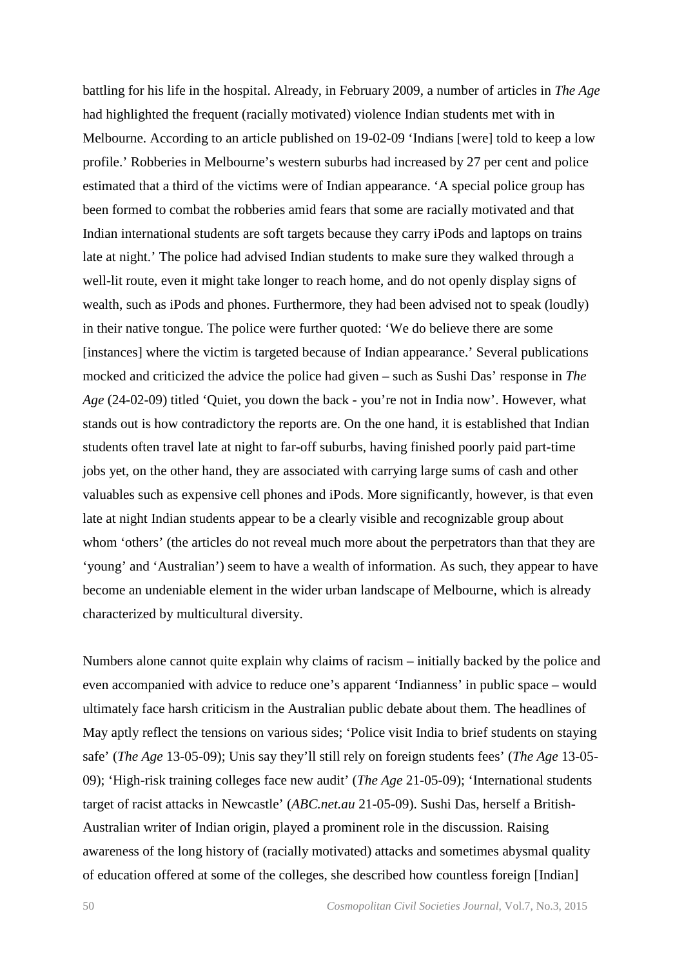battling for his life in the hospital. Already, in February 2009, a number of articles in *The Age* had highlighted the frequent (racially motivated) violence Indian students met with in Melbourne. According to an article published on 19-02-09 'Indians [were] told to keep a low profile.' Robberies in Melbourne's western suburbs had increased by 27 per cent and police estimated that a third of the victims were of Indian appearance. 'A special police group has been formed to combat the robberies amid fears that some are racially motivated and that Indian international students are soft targets because they carry iPods and laptops on trains late at night.' The police had advised Indian students to make sure they walked through a well-lit route, even it might take longer to reach home, and do not openly display signs of wealth, such as iPods and phones. Furthermore, they had been advised not to speak (loudly) in their native tongue. The police were further quoted: 'We do believe there are some [instances] where the victim is targeted because of Indian appearance.' Several publications mocked and criticized the advice the police had given – such as Sushi Das' response in *The Age* (24-02-09) titled 'Quiet, you down the back - you're not in India now'. However, what stands out is how contradictory the reports are. On the one hand, it is established that Indian students often travel late at night to far-off suburbs, having finished poorly paid part-time jobs yet, on the other hand, they are associated with carrying large sums of cash and other valuables such as expensive cell phones and iPods. More significantly, however, is that even late at night Indian students appear to be a clearly visible and recognizable group about whom 'others' (the articles do not reveal much more about the perpetrators than that they are 'young' and 'Australian') seem to have a wealth of information. As such, they appear to have become an undeniable element in the wider urban landscape of Melbourne, which is already characterized by multicultural diversity.

Numbers alone cannot quite explain why claims of racism – initially backed by the police and even accompanied with advice to reduce one's apparent 'Indianness' in public space – would ultimately face harsh criticism in the Australian public debate about them. The headlines of May aptly reflect the tensions on various sides; 'Police visit India to brief students on staying safe' (*The Age* 13-05-09); Unis say they'll still rely on foreign students fees' (*The Age* 13-05- 09); 'High-risk training colleges face new audit' (*The Age* 21-05-09); 'International students target of racist attacks in Newcastle' (*ABC.net.au* 21-05-09). Sushi Das, herself a British-Australian writer of Indian origin, played a prominent role in the discussion. Raising awareness of the long history of (racially motivated) attacks and sometimes abysmal quality of education offered at some of the colleges, she described how countless foreign [Indian]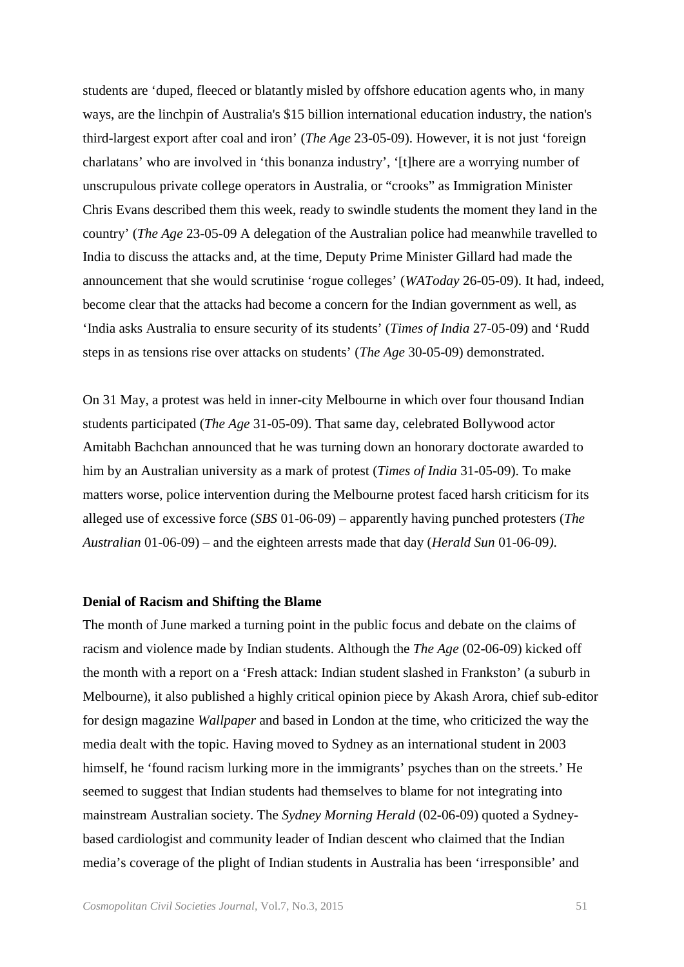students are 'duped, fleeced or blatantly misled by offshore education agents who, in many ways, are the linchpin of Australia's \$15 billion international education industry, the nation's third-largest export after coal and iron' (*The Age* 23-05-09). However, it is not just 'foreign charlatans' who are involved in 'this bonanza industry', '[t]here are a worrying number of unscrupulous private college operators in Australia, or "crooks" as Immigration Minister Chris Evans described them this week, ready to swindle students the moment they land in the country' (*The Age* 23-05-09 A delegation of the Australian police had meanwhile travelled to India to discuss the attacks and, at the time, Deputy Prime Minister Gillard had made the announcement that she would scrutinise 'rogue colleges' (*WAToday* 26-05-09). It had, indeed, become clear that the attacks had become a concern for the Indian government as well, as 'India asks Australia to ensure security of its students' (*Times of India* 27-05-09) and 'Rudd steps in as tensions rise over attacks on students' (*The Age* 30-05-09) demonstrated.

On 31 May, a protest was held in inner-city Melbourne in which over four thousand Indian students participated (*The Age* 31-05-09). That same day, celebrated Bollywood actor Amitabh Bachchan announced that he was turning down an honorary doctorate awarded to him by an Australian university as a mark of protest (*Times of India* 31-05-09). To make matters worse, police intervention during the Melbourne protest faced harsh criticism for its alleged use of excessive force (*SBS* 01-06-09) – apparently having punched protesters (*The Australian* 01-06-09) – and the eighteen arrests made that day (*Herald Sun* 01-06-09*)*.

#### **Denial of Racism and Shifting the Blame**

The month of June marked a turning point in the public focus and debate on the claims of racism and violence made by Indian students. Although the *The Age* (02-06-09) kicked off the month with a report on a 'Fresh attack: Indian student slashed in Frankston' (a suburb in Melbourne), it also published a highly critical opinion piece by Akash Arora, chief sub-editor for design magazine *Wallpaper* and based in London at the time, who criticized the way the media dealt with the topic. Having moved to Sydney as an international student in 2003 himself, he 'found racism lurking more in the immigrants' psyches than on the streets.' He seemed to suggest that Indian students had themselves to blame for not integrating into mainstream Australian society. The *Sydney Morning Herald* (02-06-09) quoted a Sydneybased cardiologist and community leader of Indian descent who claimed that the Indian media's coverage of the plight of Indian students in Australia has been 'irresponsible' and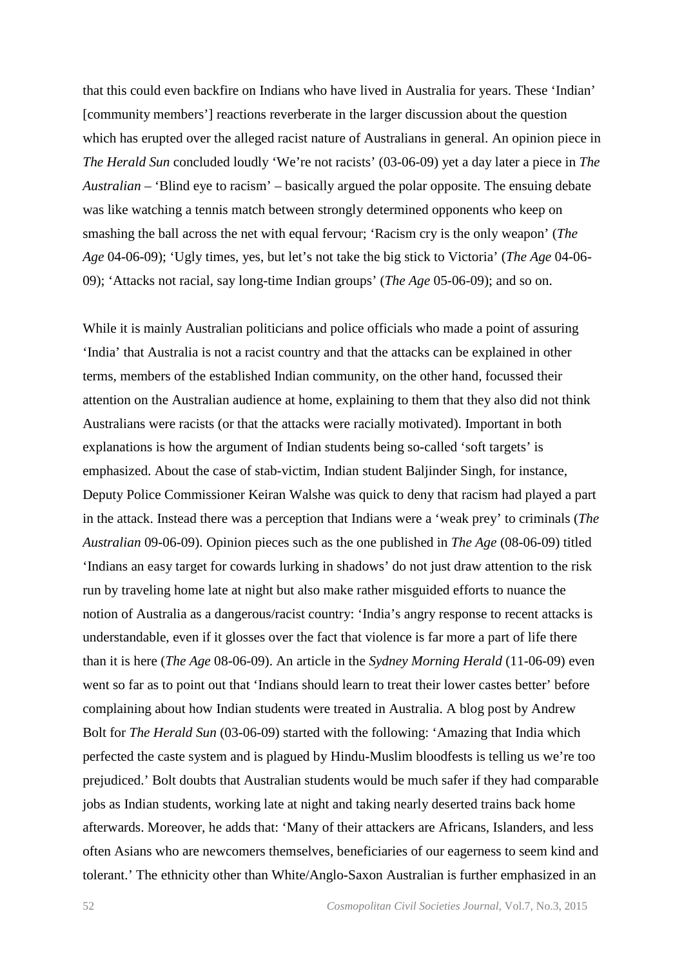that this could even backfire on Indians who have lived in Australia for years. These 'Indian' [community members'] reactions reverberate in the larger discussion about the question which has erupted over the alleged racist nature of Australians in general. An opinion piece in *The Herald Sun* concluded loudly 'We're not racists' (03-06-09) yet a day later a piece in *The Australian* – 'Blind eye to racism' – basically argued the polar opposite. The ensuing debate was like watching a tennis match between strongly determined opponents who keep on smashing the ball across the net with equal fervour; 'Racism cry is the only weapon' (*The Age* 04-06-09); 'Ugly times, yes, but let's not take the big stick to Victoria' (*The Age* 04-06- 09); 'Attacks not racial, say long-time Indian groups' (*The Age* 05-06-09); and so on.

While it is mainly Australian politicians and police officials who made a point of assuring 'India' that Australia is not a racist country and that the attacks can be explained in other terms, members of the established Indian community, on the other hand, focussed their attention on the Australian audience at home, explaining to them that they also did not think Australians were racists (or that the attacks were racially motivated). Important in both explanations is how the argument of Indian students being so-called 'soft targets' is emphasized. About the case of stab-victim, Indian student Baljinder Singh, for instance, Deputy Police Commissioner Keiran Walshe was quick to deny that racism had played a part in the attack. Instead there was a perception that Indians were a 'weak prey' to criminals (*The Australian* 09-06-09). Opinion pieces such as the one published in *The Age* (08-06-09) titled 'Indians an easy target for cowards lurking in shadows' do not just draw attention to the risk run by traveling home late at night but also make rather misguided efforts to nuance the notion of Australia as a dangerous/racist country: 'India's angry response to recent attacks is understandable, even if it glosses over the fact that violence is far more a part of life there than it is here (*The Age* 08-06-09). An article in the *Sydney Morning Herald* (11-06-09) even went so far as to point out that 'Indians should learn to treat their lower castes better' before complaining about how Indian students were treated in Australia. A blog post by Andrew Bolt for *The Herald Sun* (03-06-09) started with the following: 'Amazing that India which perfected the caste system and is plagued by Hindu-Muslim bloodfests is telling us we're too prejudiced.' Bolt doubts that Australian students would be much safer if they had comparable jobs as Indian students, working late at night and taking nearly deserted trains back home afterwards. Moreover, he adds that: 'Many of their attackers are Africans, Islanders, and less often Asians who are newcomers themselves, beneficiaries of our eagerness to seem kind and tolerant.' The ethnicity other than White/Anglo-Saxon Australian is further emphasized in an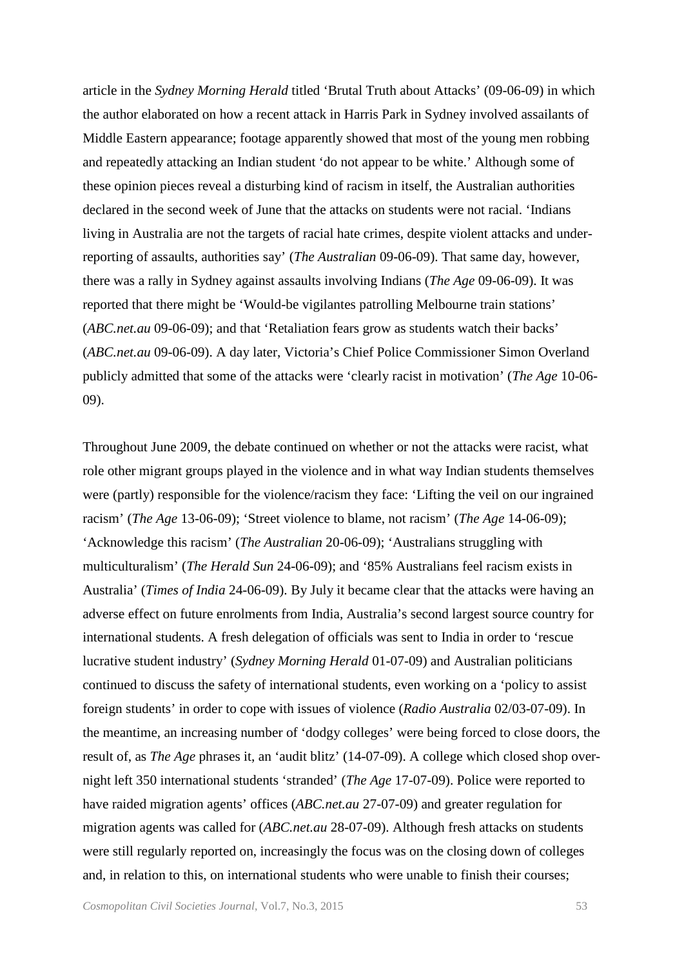article in the *Sydney Morning Herald* titled 'Brutal Truth about Attacks' (09-06-09) in which the author elaborated on how a recent attack in Harris Park in Sydney involved assailants of Middle Eastern appearance; footage apparently showed that most of the young men robbing and repeatedly attacking an Indian student 'do not appear to be white.' Although some of these opinion pieces reveal a disturbing kind of racism in itself, the Australian authorities declared in the second week of June that the attacks on students were not racial. 'Indians living in Australia are not the targets of racial hate crimes, despite violent attacks and underreporting of assaults, authorities say' (*The Australian* 09-06-09). That same day, however, there was a rally in Sydney against assaults involving Indians (*The Age* 09-06-09). It was reported that there might be 'Would-be vigilantes patrolling Melbourne train stations' (*ABC.net.au* 09-06-09); and that 'Retaliation fears grow as students watch their backs' (*ABC.net.au* 09-06-09). A day later, Victoria's Chief Police Commissioner Simon Overland publicly admitted that some of the attacks were 'clearly racist in motivation' (*The Age* 10-06- 09).

Throughout June 2009, the debate continued on whether or not the attacks were racist, what role other migrant groups played in the violence and in what way Indian students themselves were (partly) responsible for the violence/racism they face: 'Lifting the veil on our ingrained racism' (*The Age* 13-06-09); 'Street violence to blame, not racism' (*The Age* 14-06-09); 'Acknowledge this racism' (*The Australian* 20-06-09); 'Australians struggling with multiculturalism' (*The Herald Sun* 24-06-09); and '85% Australians feel racism exists in Australia' (*Times of India* 24-06-09). By July it became clear that the attacks were having an adverse effect on future enrolments from India, Australia's second largest source country for international students. A fresh delegation of officials was sent to India in order to 'rescue lucrative student industry' (*Sydney Morning Herald* 01-07-09) and Australian politicians continued to discuss the safety of international students, even working on a 'policy to assist foreign students' in order to cope with issues of violence (*Radio Australia* 02/03-07-09). In the meantime, an increasing number of 'dodgy colleges' were being forced to close doors, the result of, as *The Age* phrases it, an 'audit blitz' (14-07-09). A college which closed shop overnight left 350 international students 'stranded' (*The Age* 17-07-09). Police were reported to have raided migration agents' offices (*ABC.net.au* 27-07-09) and greater regulation for migration agents was called for (*ABC.net.au* 28-07-09). Although fresh attacks on students were still regularly reported on, increasingly the focus was on the closing down of colleges and, in relation to this, on international students who were unable to finish their courses;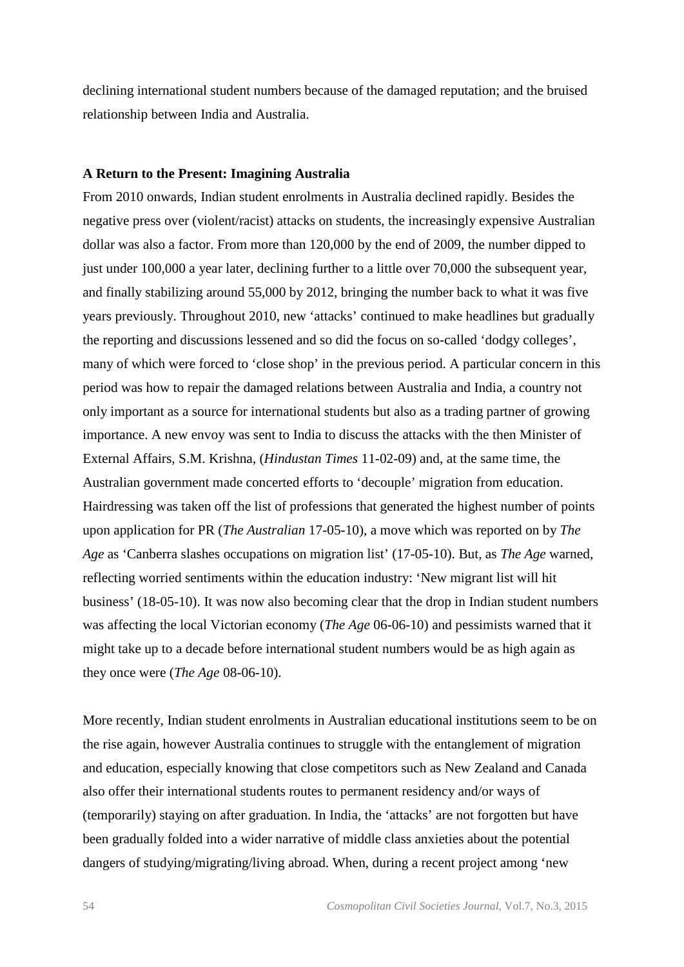declining international student numbers because of the damaged reputation; and the bruised relationship between India and Australia.

## **A Return to the Present: Imagining Australia**

From 2010 onwards, Indian student enrolments in Australia declined rapidly. Besides the negative press over (violent/racist) attacks on students, the increasingly expensive Australian dollar was also a factor. From more than 120,000 by the end of 2009, the number dipped to just under 100,000 a year later, declining further to a little over 70,000 the subsequent year, and finally stabilizing around 55,000 by 2012, bringing the number back to what it was five years previously. Throughout 2010, new 'attacks' continued to make headlines but gradually the reporting and discussions lessened and so did the focus on so-called 'dodgy colleges', many of which were forced to 'close shop' in the previous period. A particular concern in this period was how to repair the damaged relations between Australia and India, a country not only important as a source for international students but also as a trading partner of growing importance. A new envoy was sent to India to discuss the attacks with the then Minister of External Affairs, S.M. Krishna, (*Hindustan Times* 11-02-09) and, at the same time, the Australian government made concerted efforts to 'decouple' migration from education. Hairdressing was taken off the list of professions that generated the highest number of points upon application for PR (*The Australian* 17-05-10), a move which was reported on by *The Age* as 'Canberra slashes occupations on migration list' (17-05-10). But, as *The Age* warned, reflecting worried sentiments within the education industry: 'New migrant list will hit business' (18-05-10). It was now also becoming clear that the drop in Indian student numbers was affecting the local Victorian economy (*The Age* 06-06-10) and pessimists warned that it might take up to a decade before international student numbers would be as high again as they once were (*The Age* 08-06-10).

More recently, Indian student enrolments in Australian educational institutions seem to be on the rise again, however Australia continues to struggle with the entanglement of migration and education, especially knowing that close competitors such as New Zealand and Canada also offer their international students routes to permanent residency and/or ways of (temporarily) staying on after graduation. In India, the 'attacks' are not forgotten but have been gradually folded into a wider narrative of middle class anxieties about the potential dangers of studying/migrating/living abroad. When, during a recent project among 'new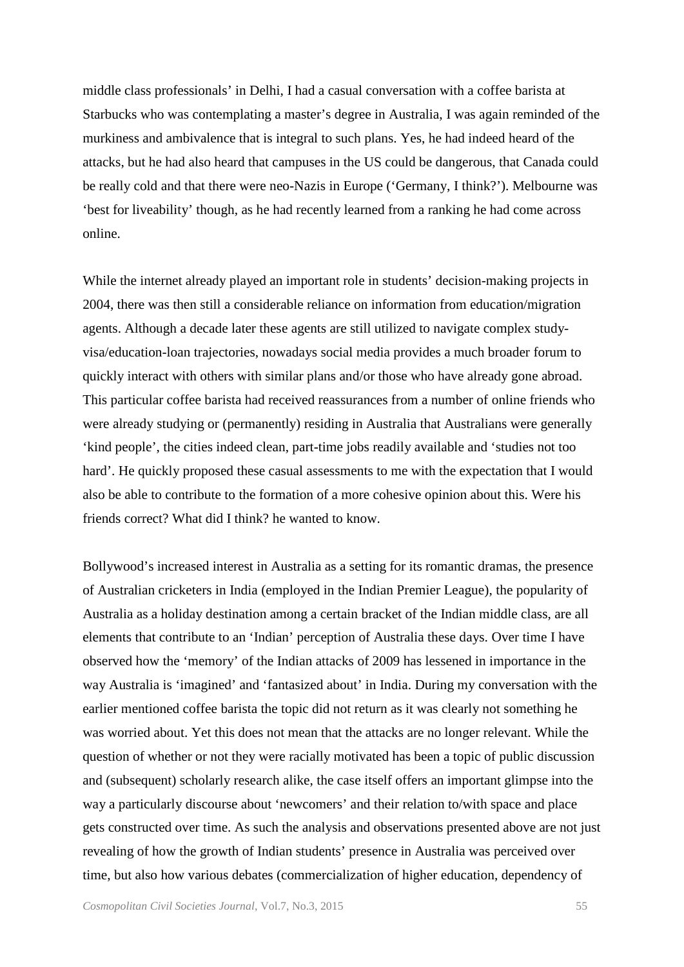middle class professionals' in Delhi, I had a casual conversation with a coffee barista at Starbucks who was contemplating a master's degree in Australia, I was again reminded of the murkiness and ambivalence that is integral to such plans. Yes, he had indeed heard of the attacks, but he had also heard that campuses in the US could be dangerous, that Canada could be really cold and that there were neo-Nazis in Europe ('Germany, I think?'). Melbourne was 'best for liveability' though, as he had recently learned from a ranking he had come across online.

While the internet already played an important role in students' decision-making projects in 2004, there was then still a considerable reliance on information from education/migration agents. Although a decade later these agents are still utilized to navigate complex studyvisa/education-loan trajectories, nowadays social media provides a much broader forum to quickly interact with others with similar plans and/or those who have already gone abroad. This particular coffee barista had received reassurances from a number of online friends who were already studying or (permanently) residing in Australia that Australians were generally 'kind people', the cities indeed clean, part-time jobs readily available and 'studies not too hard'. He quickly proposed these casual assessments to me with the expectation that I would also be able to contribute to the formation of a more cohesive opinion about this. Were his friends correct? What did I think? he wanted to know.

Bollywood's increased interest in Australia as a setting for its romantic dramas, the presence of Australian cricketers in India (employed in the Indian Premier League), the popularity of Australia as a holiday destination among a certain bracket of the Indian middle class, are all elements that contribute to an 'Indian' perception of Australia these days. Over time I have observed how the 'memory' of the Indian attacks of 2009 has lessened in importance in the way Australia is 'imagined' and 'fantasized about' in India. During my conversation with the earlier mentioned coffee barista the topic did not return as it was clearly not something he was worried about. Yet this does not mean that the attacks are no longer relevant. While the question of whether or not they were racially motivated has been a topic of public discussion and (subsequent) scholarly research alike, the case itself offers an important glimpse into the way a particularly discourse about 'newcomers' and their relation to/with space and place gets constructed over time. As such the analysis and observations presented above are not just revealing of how the growth of Indian students' presence in Australia was perceived over time, but also how various debates (commercialization of higher education, dependency of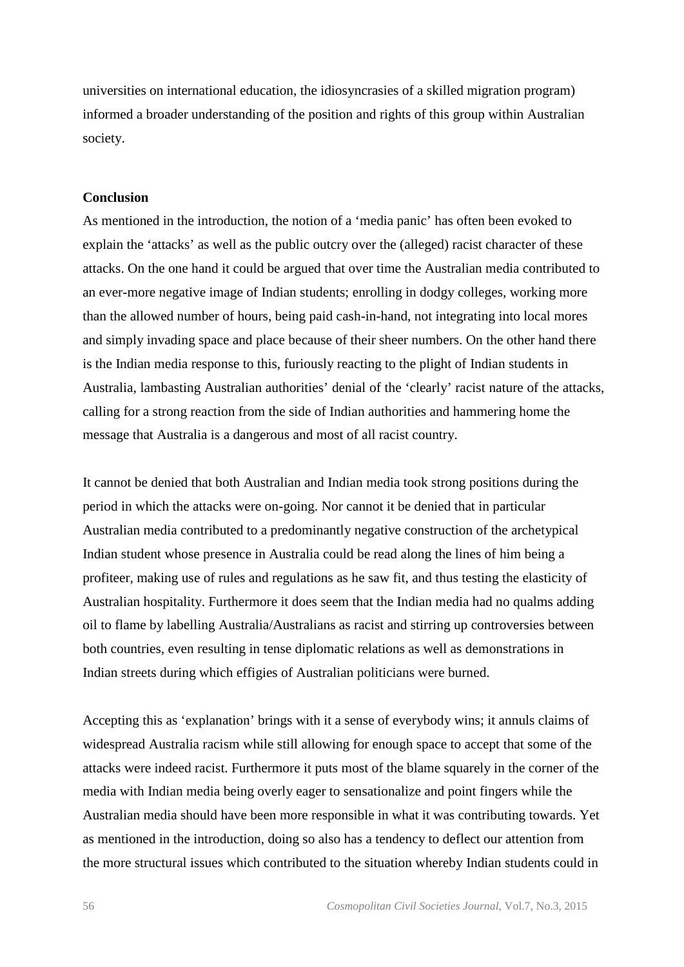universities on international education, the idiosyncrasies of a skilled migration program) informed a broader understanding of the position and rights of this group within Australian society.

# **Conclusion**

As mentioned in the introduction, the notion of a 'media panic' has often been evoked to explain the 'attacks' as well as the public outcry over the (alleged) racist character of these attacks. On the one hand it could be argued that over time the Australian media contributed to an ever-more negative image of Indian students; enrolling in dodgy colleges, working more than the allowed number of hours, being paid cash-in-hand, not integrating into local mores and simply invading space and place because of their sheer numbers. On the other hand there is the Indian media response to this, furiously reacting to the plight of Indian students in Australia, lambasting Australian authorities' denial of the 'clearly' racist nature of the attacks, calling for a strong reaction from the side of Indian authorities and hammering home the message that Australia is a dangerous and most of all racist country.

It cannot be denied that both Australian and Indian media took strong positions during the period in which the attacks were on-going. Nor cannot it be denied that in particular Australian media contributed to a predominantly negative construction of the archetypical Indian student whose presence in Australia could be read along the lines of him being a profiteer, making use of rules and regulations as he saw fit, and thus testing the elasticity of Australian hospitality. Furthermore it does seem that the Indian media had no qualms adding oil to flame by labelling Australia/Australians as racist and stirring up controversies between both countries, even resulting in tense diplomatic relations as well as demonstrations in Indian streets during which effigies of Australian politicians were burned.

Accepting this as 'explanation' brings with it a sense of everybody wins; it annuls claims of widespread Australia racism while still allowing for enough space to accept that some of the attacks were indeed racist. Furthermore it puts most of the blame squarely in the corner of the media with Indian media being overly eager to sensationalize and point fingers while the Australian media should have been more responsible in what it was contributing towards. Yet as mentioned in the introduction, doing so also has a tendency to deflect our attention from the more structural issues which contributed to the situation whereby Indian students could in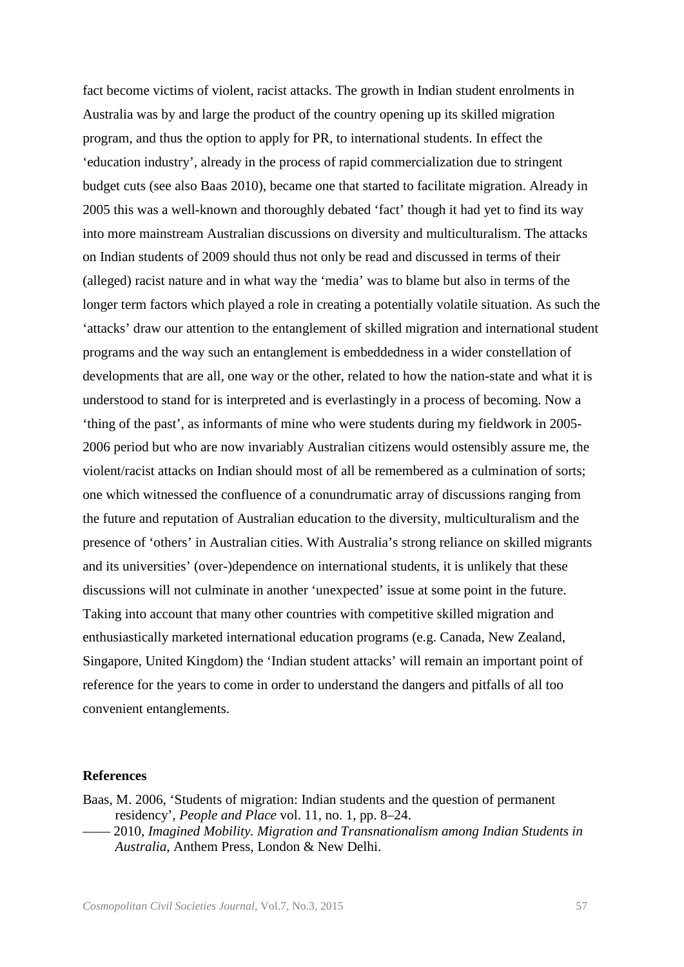fact become victims of violent, racist attacks. The growth in Indian student enrolments in Australia was by and large the product of the country opening up its skilled migration program, and thus the option to apply for PR, to international students. In effect the 'education industry', already in the process of rapid commercialization due to stringent budget cuts (see also Baas 2010), became one that started to facilitate migration. Already in 2005 this was a well-known and thoroughly debated 'fact' though it had yet to find its way into more mainstream Australian discussions on diversity and multiculturalism. The attacks on Indian students of 2009 should thus not only be read and discussed in terms of their (alleged) racist nature and in what way the 'media' was to blame but also in terms of the longer term factors which played a role in creating a potentially volatile situation. As such the 'attacks' draw our attention to the entanglement of skilled migration and international student programs and the way such an entanglement is embeddedness in a wider constellation of developments that are all, one way or the other, related to how the nation-state and what it is understood to stand for is interpreted and is everlastingly in a process of becoming. Now a 'thing of the past', as informants of mine who were students during my fieldwork in 2005- 2006 period but who are now invariably Australian citizens would ostensibly assure me, the violent/racist attacks on Indian should most of all be remembered as a culmination of sorts; one which witnessed the confluence of a conundrumatic array of discussions ranging from the future and reputation of Australian education to the diversity, multiculturalism and the presence of 'others' in Australian cities. With Australia's strong reliance on skilled migrants and its universities' (over-)dependence on international students, it is unlikely that these discussions will not culminate in another 'unexpected' issue at some point in the future. Taking into account that many other countries with competitive skilled migration and enthusiastically marketed international education programs (e.g. Canada, New Zealand, Singapore, United Kingdom) the 'Indian student attacks' will remain an important point of reference for the years to come in order to understand the dangers and pitfalls of all too convenient entanglements.

# **References**

Baas, M. 2006, 'Students of migration: Indian students and the question of permanent residency', *People and Place* vol. 11, no. 1, pp. 8–24.

—— 2010, *Imagined Mobility. Migration and Transnationalism among Indian Students in Australia*, Anthem Press, London & New Delhi.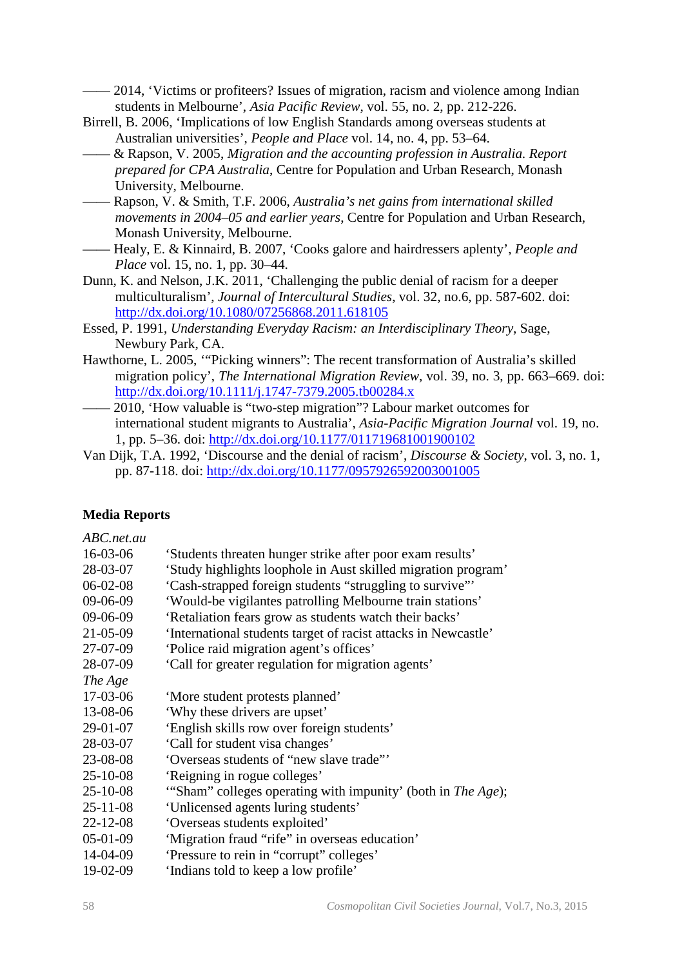—— 2014, 'Victims or profiteers? Issues of migration, racism and violence among Indian students in Melbourne', *Asia Pacific Review*, vol. 55, no. 2, pp. 212-226.

- Birrell, B. 2006, 'Implications of low English Standards among overseas students at Australian universities', *People and Place* vol. 14, no. 4, pp. 53–64.
- —— & Rapson, V. 2005, *Migration and the accounting profession in Australia. Report prepared for CPA Australia*, Centre for Population and Urban Research, Monash University, Melbourne.
- —— Rapson, V. & Smith, T.F. 2006, *Australia's net gains from international skilled movements in 2004–05 and earlier years*, Centre for Population and Urban Research, Monash University, Melbourne.
- —— Healy, E. & Kinnaird, B. 2007, 'Cooks galore and hairdressers aplenty', *People and Place* vol. 15, no. 1, pp. 30–44.
- Dunn, K. and Nelson, J.K. 2011, 'Challenging the public denial of racism for a deeper multiculturalism', *Journal of Intercultural Studies*, vol. 32, no.6, pp. 587-602. doi: <http://dx.doi.org/10.1080/07256868.2011.618105>
- Essed, P. 1991, *Understanding Everyday Racism: an Interdisciplinary Theory*, Sage, Newbury Park, CA.
- Hawthorne, L. 2005, '"Picking winners": The recent transformation of Australia's skilled migration policy', *The International Migration Review*, vol. 39, no. 3, pp. 663–669. doi: <http://dx.doi.org/10.1111/j.1747-7379.2005.tb00284.x>
- —— 2010, 'How valuable is "two-step migration"? Labour market outcomes for international student migrants to Australia', *Asia-Pacific Migration Journal* vol. 19, no. 1, pp. 5–36. doi: <http://dx.doi.org/10.1177/011719681001900102>
- Van Dijk, T.A. 1992, 'Discourse and the denial of racism', *Discourse & Society*, vol. 3, no. 1, pp. 87-118. doi: <http://dx.doi.org/10.1177/0957926592003001005>

## **Media Reports**

#### *ABC.net.au*

| $16-03-06$     | 'Students threaten hunger strike after poor exam results'      |
|----------------|----------------------------------------------------------------|
| 28-03-07       | 'Study highlights loophole in Aust skilled migration program'  |
| $06 - 02 - 08$ | 'Cash-strapped foreign students "struggling to survive"'       |
| 09-06-09       | 'Would-be vigilantes patrolling Melbourne train stations'      |
| 09-06-09       | 'Retaliation fears grow as students watch their backs'         |
| $21 - 05 - 09$ | 'International students target of racist attacks in Newcastle' |
| 27-07-09       | 'Police raid migration agent's offices'                        |
| 28-07-09       | 'Call for greater regulation for migration agents'             |
| The Age        |                                                                |
| 17-03-06       | 'More student protests planned'                                |
| 13-08-06       | 'Why these drivers are upset'                                  |
| 29-01-07       | 'English skills row over foreign students'                     |
| 28-03-07       | 'Call for student visa changes'                                |
| 23-08-08       | 'Overseas students of "new slave trade"                        |
| $25-10-08$     | 'Reigning in rogue colleges'                                   |
| 25-10-08       | "Sham" colleges operating with impunity' (both in The Age);    |
| $25 - 11 - 08$ | 'Unlicensed agents luring students'                            |
| $22 - 12 - 08$ | 'Overseas students exploited'                                  |
| $05-01-09$     | 'Migration fraud "rife" in overseas education'                 |
| 14-04-09       | 'Pressure to rein in "corrupt" colleges'                       |
|                |                                                                |

19-02-09 'Indians told to keep a low profile'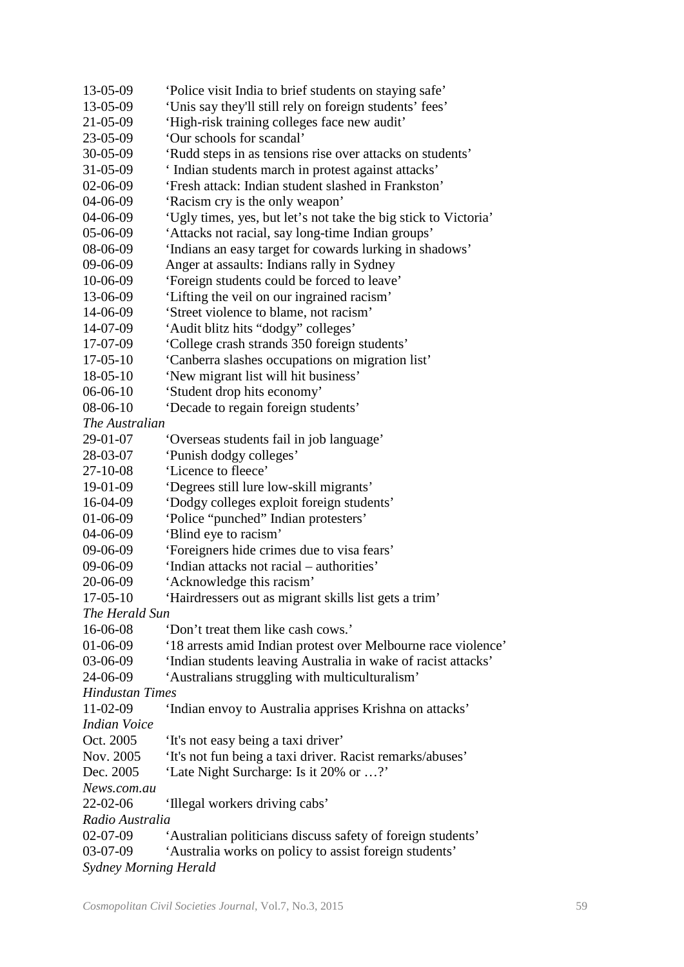13-05-09 'Police visit India to brief students on staying safe' 13-05-09 'Unis say they'll still rely on foreign students' fees' 21-05-09 'High-risk training colleges face new audit' 23-05-09 'Our schools for scandal' 30-05-09 'Rudd steps in as tensions rise over attacks on students' 31-05-09 ' Indian students march in protest against attacks' 02-06-09 'Fresh attack: Indian student slashed in Frankston' 04-06-09 'Racism cry is the only weapon' 04-06-09 'Ugly times, yes, but let's not take the big stick to Victoria' 05-06-09 'Attacks not racial, say long-time Indian groups' 08-06-09 'Indians an easy target for cowards lurking in shadows' 09-06-09 Anger at assaults: Indians rally in Sydney 10-06-09 'Foreign students could be forced to leave' 13-06-09 'Lifting the veil on our ingrained racism' 14-06-09 'Street violence to blame, not racism' 14-07-09 'Audit blitz hits "dodgy" colleges' 17-07-09 'College crash strands 350 foreign students' 17-05-10 'Canberra slashes occupations on migration list' 18-05-10 'New migrant list will hit business' 06-06-10 'Student drop hits economy' 08-06-10 'Decade to regain foreign students' *The Australian* 29-01-07 'Overseas students fail in job language' 28-03-07 'Punish dodgy colleges' 27-10-08 'Licence to fleece' 19-01-09 'Degrees still lure low-skill migrants' 16-04-09 'Dodgy colleges exploit foreign students' 01-06-09 'Police "punched" Indian protesters' 04-06-09 'Blind eye to racism' 09-06-09 'Foreigners hide crimes due to visa fears' 09-06-09 'Indian attacks not racial – authorities' 20-06-09 'Acknowledge this racism' 17-05-10 'Hairdressers out as migrant skills list gets a trim' *The Herald Sun* 16-06-08 'Don't treat them like cash cows.' 01-06-09 '18 arrests amid Indian protest over Melbourne race violence' 03-06-09 'Indian students leaving Australia in wake of racist attacks' 24-06-09 'Australians struggling with multiculturalism' *Hindustan Times* 11-02-09 'Indian envoy to Australia apprises Krishna on attacks' *Indian Voice* Oct. 2005 'It's not easy being a taxi driver' Nov. 2005 'It's not fun being a taxi driver. Racist remarks/abuses' Dec. 2005 'Late Night Surcharge: Is it 20% or …?' *News.com.au* 22-02-06 'Illegal workers driving cabs' *Radio Australia* 02-07-09 'Australian politicians discuss safety of foreign students' 03-07-09 'Australia works on policy to assist foreign students' *Sydney Morning Herald*